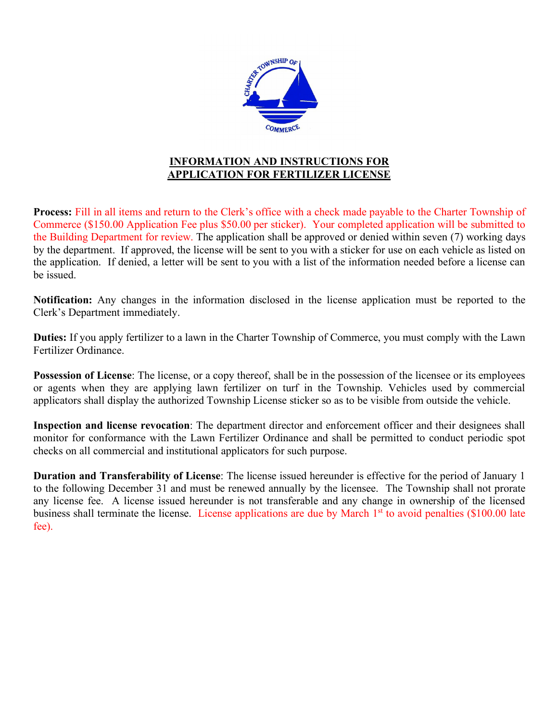

## **INFORMATION AND INSTRUCTIONS FOR APPLICATION FOR FERTILIZER LICENSE**

**Process:** Fill in all items and return to the Clerk's office with a check made payable to the Charter Township of Commerce (\$150.00 Application Fee plus \$50.00 per sticker). Your completed application will be submitted to the Building Department for review. The application shall be approved or denied within seven (7) working days by the department. If approved, the license will be sent to you with a sticker for use on each vehicle as listed on the application. If denied, a letter will be sent to you with a list of the information needed before a license can be issued.

**Notification:** Any changes in the information disclosed in the license application must be reported to the Clerk's Department immediately.

**Duties:** If you apply fertilizer to a lawn in the Charter Township of Commerce, you must comply with the Lawn Fertilizer Ordinance.

**Possession of License**: The license, or a copy thereof, shall be in the possession of the licensee or its employees or agents when they are applying lawn fertilizer on turf in the Township. Vehicles used by commercial applicators shall display the authorized Township License sticker so as to be visible from outside the vehicle.

**Inspection and license revocation**: The department director and enforcement officer and their designees shall monitor for conformance with the Lawn Fertilizer Ordinance and shall be permitted to conduct periodic spot checks on all commercial and institutional applicators for such purpose.

**Duration and Transferability of License**: The license issued hereunder is effective for the period of January 1 to the following December 31 and must be renewed annually by the licensee. The Township shall not prorate any license fee. A license issued hereunder is not transferable and any change in ownership of the licensed business shall terminate the license. License applications are due by March 1<sup>st</sup> to avoid penalties (\$100.00 late fee).